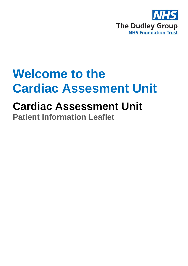

# **Welcome to the Cardiac Assesment Unit**

## **Cardiac Assessment Unit**

**Patient Information Leaflet**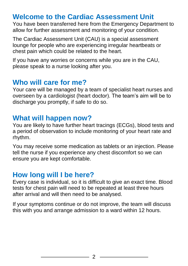## **Welcome to the Cardiac Assessment Unit**

You have been transferred here from the Emergency Department to allow for further assessment and monitoring of your condition.

The Cardiac Assessment Unit (CAU) is a special assessment lounge for people who are experiencing irregular heartbeats or chest pain which could be related to the heart.

If you have any worries or concerns while you are in the CAU, please speak to a nurse looking after you.

## **Who will care for me?**

Your care will be managed by a team of specialist heart nurses and overseen by a cardiologist (heart doctor). The team's aim will be to discharge you promptly, if safe to do so.

## **What will happen now?**

You are likely to have further heart tracings (ECGs), blood tests and a period of observation to include monitoring of your heart rate and rhythm.

You may receive some medication as tablets or an injection. Please tell the nurse if you experience any chest discomfort so we can ensure you are kept comfortable.

## **How long will I be here?**

Every case is individual, so it is difficult to give an exact time. Blood tests for chest pain will need to be repeated at least three hours after arrival and will then need to be analysed.

If your symptoms continue or do not improve, the team will discuss this with you and arrange admission to a ward within 12 hours.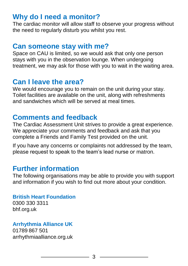## **Why do I need a monitor?**

The cardiac monitor will allow staff to observe your progress without the need to regularly disturb you whilst you rest.

#### **Can someone stay with me?**

Space on CAU is limited, so we would ask that only one person stays with you in the observation lounge. When undergoing treatment, we may ask for those with you to wait in the waiting area.

## **Can I leave the area?**

We would encourage you to remain on the unit during your stay. Toilet facilities are available on the unit, along with refreshments and sandwiches which will be served at meal times.

#### **Comments and feedback**

The Cardiac Assessment Unit strives to provide a great experience. We appreciate your comments and feedback and ask that you complete a Friends and Family Test provided on the unit.

If you have any concerns or complaints not addressed by the team, please request to speak to the team's lead nurse or matron.

## **Further information**

The following organisations may be able to provide you with support and information if you wish to find out more about your condition.

#### **British Heart Foundation**

0300 330 3311 bhf.org.uk

#### **Arrhythmia Alliance UK**

01789 867 501 arrhythmiaalliance.org.uk